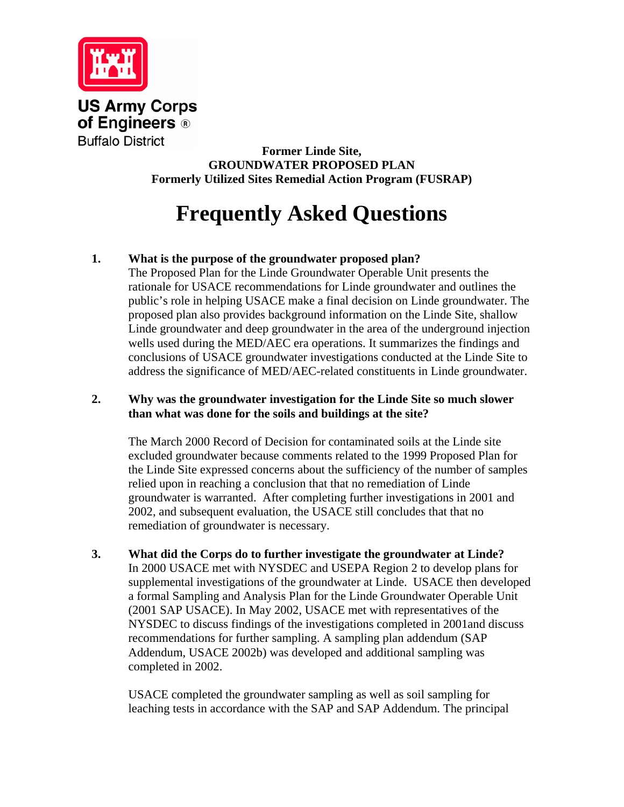

**US Army Corps** of Engineers ® **Buffalo District** 

**Former Linde Site, GROUNDWATER PROPOSED PLAN Formerly Utilized Sites Remedial Action Program (FUSRAP)** 

# **Frequently Asked Questions**

# **1. What is the purpose of the groundwater proposed plan?**

The Proposed Plan for the Linde Groundwater Operable Unit presents the rationale for USACE recommendations for Linde groundwater and outlines the public's role in helping USACE make a final decision on Linde groundwater. The proposed plan also provides background information on the Linde Site, shallow Linde groundwater and deep groundwater in the area of the underground injection wells used during the MED/AEC era operations. It summarizes the findings and conclusions of USACE groundwater investigations conducted at the Linde Site to address the significance of MED/AEC-related constituents in Linde groundwater.

# **2. Why was the groundwater investigation for the Linde Site so much slower than what was done for the soils and buildings at the site?**

The March 2000 Record of Decision for contaminated soils at the Linde site excluded groundwater because comments related to the 1999 Proposed Plan for the Linde Site expressed concerns about the sufficiency of the number of samples relied upon in reaching a conclusion that that no remediation of Linde groundwater is warranted. After completing further investigations in 2001 and 2002, and subsequent evaluation, the USACE still concludes that that no remediation of groundwater is necessary.

**3. What did the Corps do to further investigate the groundwater at Linde?**  In 2000 USACE met with NYSDEC and USEPA Region 2 to develop plans for supplemental investigations of the groundwater at Linde. USACE then developed a formal Sampling and Analysis Plan for the Linde Groundwater Operable Unit (2001 SAP USACE). In May 2002, USACE met with representatives of the NYSDEC to discuss findings of the investigations completed in 2001and discuss recommendations for further sampling. A sampling plan addendum (SAP Addendum, USACE 2002b) was developed and additional sampling was completed in 2002.

USACE completed the groundwater sampling as well as soil sampling for leaching tests in accordance with the SAP and SAP Addendum. The principal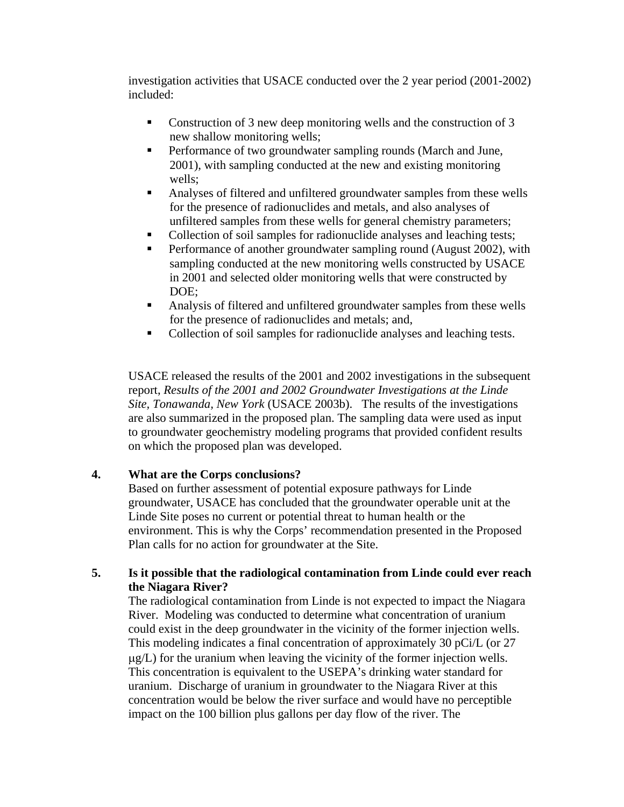investigation activities that USACE conducted over the 2 year period (2001-2002) included:

- Construction of 3 new deep monitoring wells and the construction of 3 new shallow monitoring wells;
- **Performance of two groundwater sampling rounds (March and June,** 2001), with sampling conducted at the new and existing monitoring wells;
- Analyses of filtered and unfiltered groundwater samples from these wells for the presence of radionuclides and metals, and also analyses of unfiltered samples from these wells for general chemistry parameters;
- Collection of soil samples for radionuclide analyses and leaching tests;
- **Performance of another groundwater sampling round (August 2002), with** sampling conducted at the new monitoring wells constructed by USACE in 2001 and selected older monitoring wells that were constructed by DOE;
- Analysis of filtered and unfiltered groundwater samples from these wells for the presence of radionuclides and metals; and,
- Collection of soil samples for radionuclide analyses and leaching tests.

USACE released the results of the 2001 and 2002 investigations in the subsequent report, *Results of the 2001 and 2002 Groundwater Investigations at the Linde Site, Tonawanda, New York* (USACE 2003b). The results of the investigations are also summarized in the proposed plan. The sampling data were used as input to groundwater geochemistry modeling programs that provided confident results on which the proposed plan was developed.

# **4. What are the Corps conclusions?**

Based on further assessment of potential exposure pathways for Linde groundwater, USACE has concluded that the groundwater operable unit at the Linde Site poses no current or potential threat to human health or the environment. This is why the Corps' recommendation presented in the Proposed Plan calls for no action for groundwater at the Site.

### **5. Is it possible that the radiological contamination from Linde could ever reach the Niagara River?**

The radiological contamination from Linde is not expected to impact the Niagara River. Modeling was conducted to determine what concentration of uranium could exist in the deep groundwater in the vicinity of the former injection wells. This modeling indicates a final concentration of approximately 30 pCi/L (or 27 μg/L) for the uranium when leaving the vicinity of the former injection wells. This concentration is equivalent to the USEPA's drinking water standard for uranium. Discharge of uranium in groundwater to the Niagara River at this concentration would be below the river surface and would have no perceptible impact on the 100 billion plus gallons per day flow of the river. The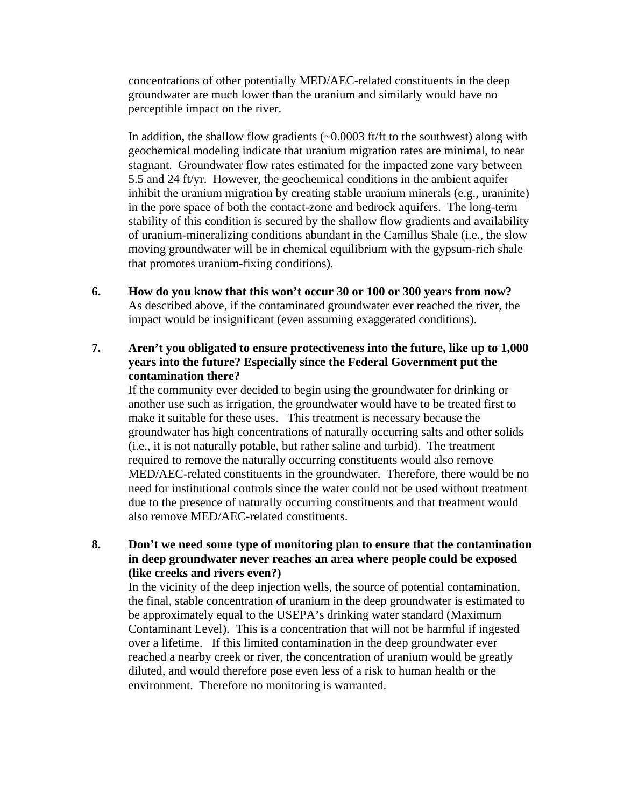concentrations of other potentially MED/AEC-related constituents in the deep groundwater are much lower than the uranium and similarly would have no perceptible impact on the river.

In addition, the shallow flow gradients  $(-0.0003$  ft/ft to the southwest) along with geochemical modeling indicate that uranium migration rates are minimal, to near stagnant. Groundwater flow rates estimated for the impacted zone vary between 5.5 and 24 ft/yr. However, the geochemical conditions in the ambient aquifer inhibit the uranium migration by creating stable uranium minerals (e.g., uraninite) in the pore space of both the contact-zone and bedrock aquifers. The long-term stability of this condition is secured by the shallow flow gradients and availability of uranium-mineralizing conditions abundant in the Camillus Shale (i.e., the slow moving groundwater will be in chemical equilibrium with the gypsum-rich shale that promotes uranium-fixing conditions).

**6. How do you know that this won't occur 30 or 100 or 300 years from now?**  As described above, if the contaminated groundwater ever reached the river, the impact would be insignificant (even assuming exaggerated conditions).

### **7. Aren't you obligated to ensure protectiveness into the future, like up to 1,000 years into the future? Especially since the Federal Government put the contamination there?**

If the community ever decided to begin using the groundwater for drinking or another use such as irrigation, the groundwater would have to be treated first to make it suitable for these uses. This treatment is necessary because the groundwater has high concentrations of naturally occurring salts and other solids (i.e., it is not naturally potable, but rather saline and turbid). The treatment required to remove the naturally occurring constituents would also remove MED/AEC-related constituents in the groundwater. Therefore, there would be no need for institutional controls since the water could not be used without treatment due to the presence of naturally occurring constituents and that treatment would also remove MED/AEC-related constituents.

# **8. Don't we need some type of monitoring plan to ensure that the contamination in deep groundwater never reaches an area where people could be exposed (like creeks and rivers even?)**

In the vicinity of the deep injection wells, the source of potential contamination, the final, stable concentration of uranium in the deep groundwater is estimated to be approximately equal to the USEPA's drinking water standard (Maximum Contaminant Level). This is a concentration that will not be harmful if ingested over a lifetime. If this limited contamination in the deep groundwater ever reached a nearby creek or river, the concentration of uranium would be greatly diluted, and would therefore pose even less of a risk to human health or the environment. Therefore no monitoring is warranted.